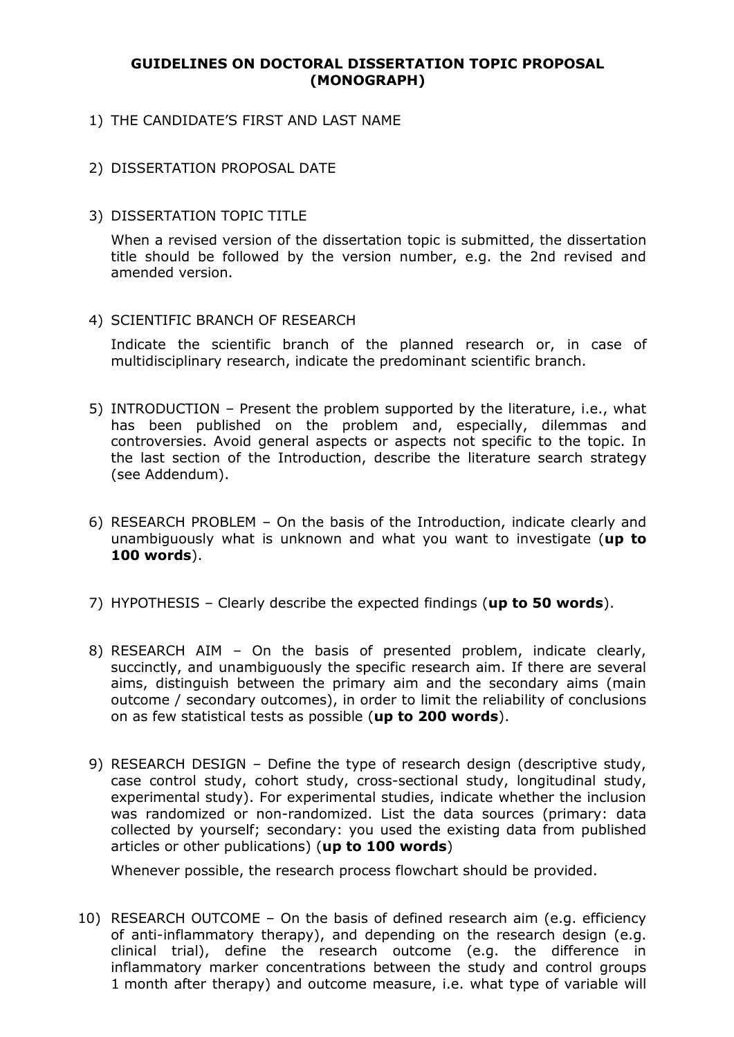#### **GUIDELINES ON DOCTORAL DISSERTATION TOPIC PROPOSAL (MONOGRAPH)**

- 1) THE CANDIDATE'S FIRST AND LAST NAME
- 2) DISSERTATION PROPOSAL DATE
- 3) DISSERTATION TOPIC TITLE

When a revised version of the dissertation topic is submitted, the dissertation title should be followed by the version number, e.g. the 2nd revised and amended version.

4) SCIENTIFIC BRANCH OF RESEARCH

Indicate the scientific branch of the planned research or, in case of multidisciplinary research, indicate the predominant scientific branch.

- 5) INTRODUCTION Present the problem supported by the literature, i.e., what has been published on the problem and, especially, dilemmas and controversies. Avoid general aspects or aspects not specific to the topic. In the last section of the Introduction, describe the literature search strategy (see Addendum).
- 6) RESEARCH PROBLEM On the basis of the Introduction, indicate clearly and unambiguously what is unknown and what you want to investigate (**up to 100 words**).
- 7) HYPOTHESIS Clearly describe the expected findings (**up to 50 words**).
- 8) RESEARCH AIM On the basis of presented problem, indicate clearly, succinctly, and unambiguously the specific research aim. If there are several aims, distinguish between the primary aim and the secondary aims (main outcome / secondary outcomes), in order to limit the reliability of conclusions on as few statistical tests as possible (**up to 200 words**).
- 9) RESEARCH DESIGN Define the type of research design (descriptive study, case control study, cohort study, cross-sectional study, longitudinal study, experimental study). For experimental studies, indicate whether the inclusion was randomized or non-randomized. List the data sources (primary: data collected by yourself; secondary: you used the existing data from published articles or other publications) (**up to 100 words**)

Whenever possible, the research process flowchart should be provided.

10) RESEARCH OUTCOME – On the basis of defined research aim (e.g. efficiency of anti-inflammatory therapy), and depending on the research design (e.g. clinical trial), define the research outcome (e.g. the difference in inflammatory marker concentrations between the study and control groups 1 month after therapy) and outcome measure, i.e. what type of variable will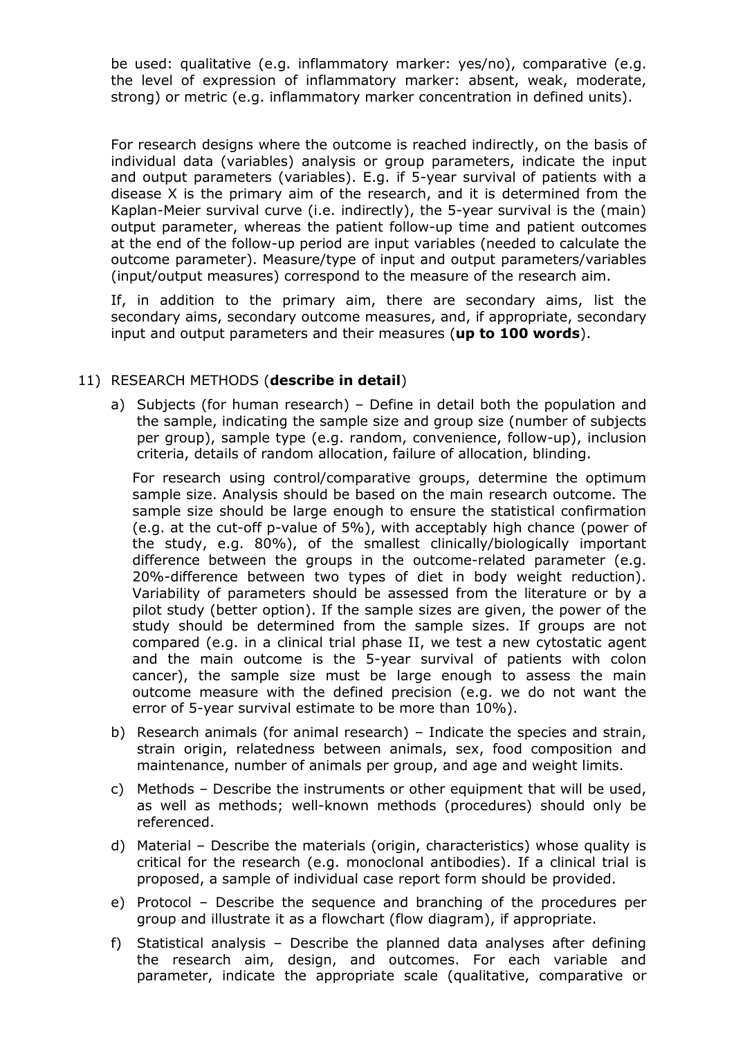be used: qualitative (e.g. inflammatory marker: yes/no), comparative (e.g. the level of expression of inflammatory marker: absent, weak, moderate, strong) or metric (e.g. inflammatory marker concentration in defined units).

For research designs where the outcome is reached indirectly, on the basis of individual data (variables) analysis or group parameters, indicate the input and output parameters (variables). E.g. if 5-year survival of patients with a disease X is the primary aim of the research, and it is determined from the Kaplan-Meier survival curve (i.e. indirectly), the 5-year survival is the (main) output parameter, whereas the patient follow-up time and patient outcomes at the end of the follow-up period are input variables (needed to calculate the outcome parameter). Measure/type of input and output parameters/variables (input/output measures) correspond to the measure of the research aim.

If, in addition to the primary aim, there are secondary aims, list the secondary aims, secondary outcome measures, and, if appropriate, secondary input and output parameters and their measures (**up to 100 words**).

# 11) RESEARCH METHODS (**describe in detail**)

a) Subjects (for human research) – Define in detail both the population and the sample, indicating the sample size and group size (number of subjects per group), sample type (e.g. random, convenience, follow-up), inclusion criteria, details of random allocation, failure of allocation, blinding.

For research using control/comparative groups, determine the optimum sample size. Analysis should be based on the main research outcome. The sample size should be large enough to ensure the statistical confirmation (e.g. at the cut-off p-value of 5%), with acceptably high chance (power of the study, e.g. 80%), of the smallest clinically/biologically important difference between the groups in the outcome-related parameter (e.g. 20%-difference between two types of diet in body weight reduction). Variability of parameters should be assessed from the literature or by a pilot study (better option). If the sample sizes are given, the power of the study should be determined from the sample sizes. If groups are not compared (e.g. in a clinical trial phase II, we test a new cytostatic agent and the main outcome is the 5-year survival of patients with colon cancer), the sample size must be large enough to assess the main outcome measure with the defined precision (e.g. we do not want the error of 5-year survival estimate to be more than 10%).

- b) Research animals (for animal research) Indicate the species and strain, strain origin, relatedness between animals, sex, food composition and maintenance, number of animals per group, and age and weight limits.
- c) Methods Describe the instruments or other equipment that will be used, as well as methods; well-known methods (procedures) should only be referenced.
- d) Material Describe the materials (origin, characteristics) whose quality is critical for the research (e.g. monoclonal antibodies). If a clinical trial is proposed, a sample of individual case report form should be provided.
- e) Protocol Describe the sequence and branching of the procedures per group and illustrate it as a flowchart (flow diagram), if appropriate.
- f) Statistical analysis Describe the planned data analyses after defining the research aim, design, and outcomes. For each variable and parameter, indicate the appropriate scale (qualitative, comparative or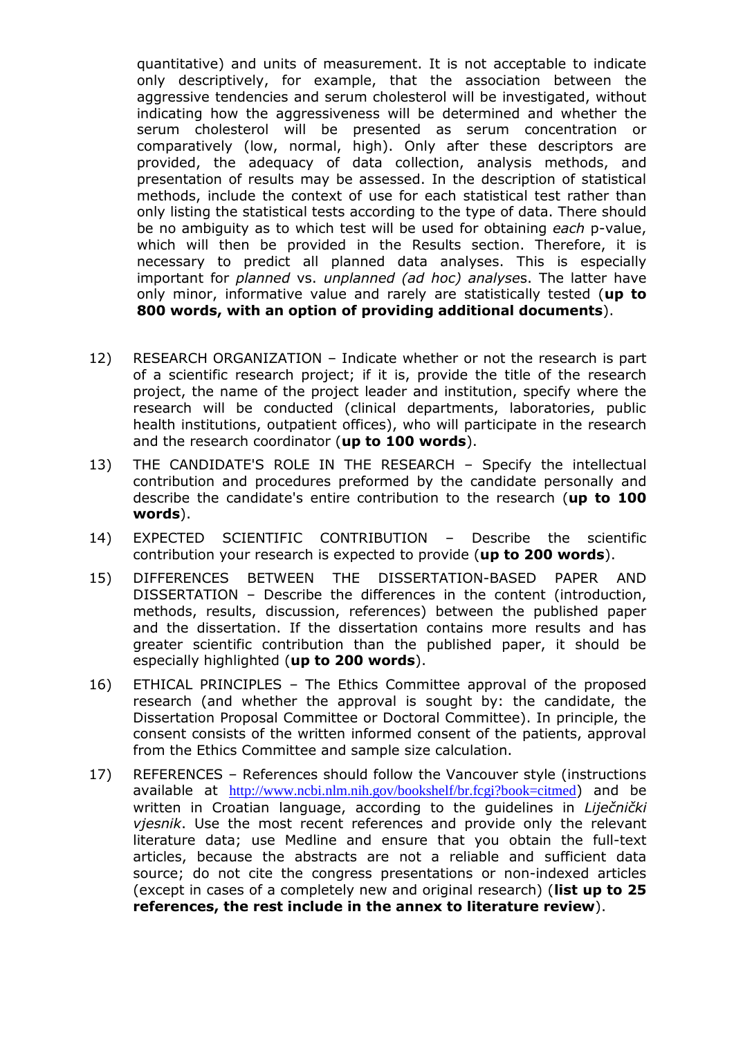quantitative) and units of measurement. It is not acceptable to indicate only descriptively, for example, that the association between the aggressive tendencies and serum cholesterol will be investigated, without indicating how the aggressiveness will be determined and whether the serum cholesterol will be presented as serum concentration or comparatively (low, normal, high). Only after these descriptors are provided, the adequacy of data collection, analysis methods, and presentation of results may be assessed. In the description of statistical methods, include the context of use for each statistical test rather than only listing the statistical tests according to the type of data. There should be no ambiguity as to which test will be used for obtaining *each* p-value, which will then be provided in the Results section. Therefore, it is necessary to predict all planned data analyses. This is especially important for *planned* vs. *unplanned (ad hoc) analyse*s. The latter have only minor, informative value and rarely are statistically tested (**up to 800 words, with an option of providing additional documents**).

- 12) RESEARCH ORGANIZATION Indicate whether or not the research is part of a scientific research project; if it is, provide the title of the research project, the name of the project leader and institution, specify where the research will be conducted (clinical departments, laboratories, public health institutions, outpatient offices), who will participate in the research and the research coordinator (**up to 100 words**).
- 13) THE CANDIDATE'S ROLE IN THE RESEARCH Specify the intellectual contribution and procedures preformed by the candidate personally and describe the candidate's entire contribution to the research (**up to 100 words**).
- 14) EXPECTED SCIENTIFIC CONTRIBUTION Describe the scientific contribution your research is expected to provide (**up to 200 words**).
- 15) DIFFERENCES BETWEEN THE DISSERTATION-BASED PAPER AND DISSERTATION – Describe the differences in the content (introduction, methods, results, discussion, references) between the published paper and the dissertation. If the dissertation contains more results and has greater scientific contribution than the published paper, it should be especially highlighted (**up to 200 words**).
- 16) ETHICAL PRINCIPLES The Ethics Committee approval of the proposed research (and whether the approval is sought by: the candidate, the Dissertation Proposal Committee or Doctoral Committee). In principle, the consent consists of the written informed consent of the patients, approval from the Ethics Committee and sample size calculation.
- 17) REFERENCES References should follow the Vancouver style (instructions available at <http://www.ncbi.nlm.nih.gov/bookshelf/br.fcgi?book=citmed>) and be written in Croatian language, according to the guidelines in *Liječnički vjesnik*. Use the most recent references and provide only the relevant literature data; use Medline and ensure that you obtain the full-text articles, because the abstracts are not a reliable and sufficient data source; do not cite the congress presentations or non-indexed articles (except in cases of a completely new and original research) (**list up to 25 references, the rest include in the annex to literature review**).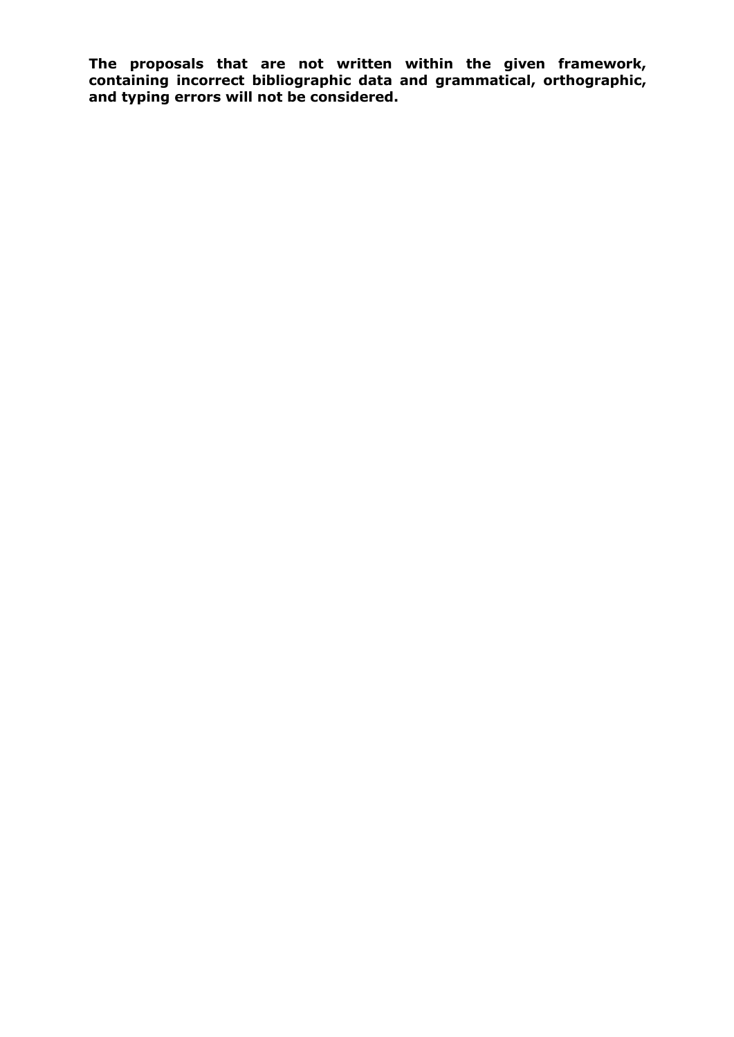**The proposals that are not written within the given framework, containing incorrect bibliographic data and grammatical, orthographic, and typing errors will not be considered.**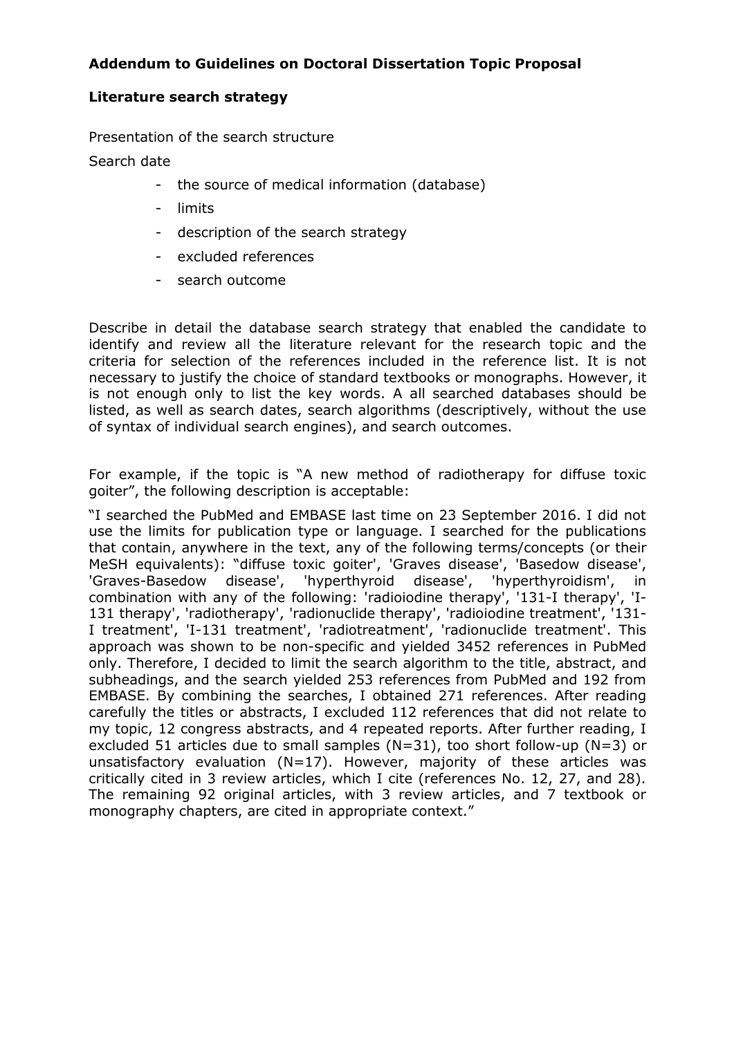# **Addendum to Guidelines on Doctoral Dissertation Topic Proposal**

### **Literature search strategy**

Presentation of the search structure

Search date

- the source of medical information (database)
- limits
- description of the search strategy
- excluded references
- search outcome

Describe in detail the database search strategy that enabled the candidate to identify and review all the literature relevant for the research topic and the criteria for selection of the references included in the reference list. It is not necessary to justify the choice of standard textbooks or monographs. However, it is not enough only to list the key words. A all searched databases should be listed, as well as search dates, search algorithms (descriptively, without the use of syntax of individual search engines), and search outcomes.

For example, if the topic is "A new method of radiotherapy for diffuse toxic goiter", the following description is acceptable:

"I searched the PubMed and EMBASE last time on 23 September 2016. I did not use the limits for publication type or language. I searched for the publications that contain, anywhere in the text, any of the following terms/concepts (or their MeSH equivalents): "diffuse toxic goiter', 'Graves disease', 'Basedow disease', 'Graves-Basedow disease', 'hyperthyroid disease', 'hyperthyroidism', in combination with any of the following: 'radioiodine therapy', '131-I therapy', 'I-131 therapy', 'radiotherapy', 'radionuclide therapy', 'radioiodine treatment', '131- I treatment', 'I-131 treatment', 'radiotreatment', 'radionuclide treatment'. This approach was shown to be non-specific and yielded 3452 references in PubMed only. Therefore, I decided to limit the search algorithm to the title, abstract, and subheadings, and the search yielded 253 references from PubMed and 192 from EMBASE. By combining the searches, I obtained 271 references. After reading carefully the titles or abstracts, I excluded 112 references that did not relate to my topic, 12 congress abstracts, and 4 repeated reports. After further reading, I excluded 51 articles due to small samples (N=31), too short follow-up (N=3) or unsatisfactory evaluation (N=17). However, majority of these articles was critically cited in 3 review articles, which I cite (references No. 12, 27, and 28). The remaining 92 original articles, with 3 review articles, and 7 textbook or monography chapters, are cited in appropriate context."